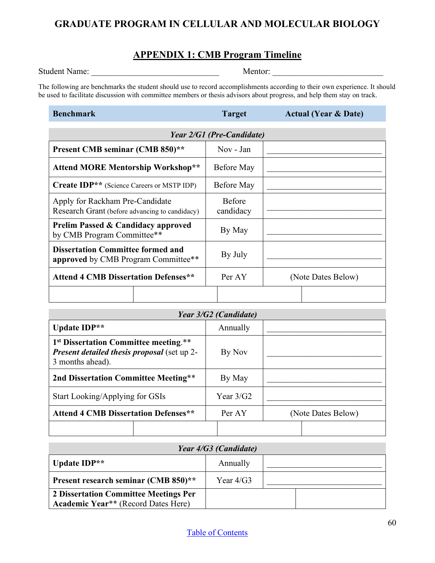## **GRADUATE PROGRAM IN CELLULAR AND MOLECULAR BIOLOGY**

#### **APPENDIX 1: CMB Program Timeline**

Student Name: \_\_\_\_\_\_\_\_\_\_\_\_\_\_\_\_\_\_\_\_\_\_\_\_\_\_\_\_\_\_ Mentor: \_\_\_\_\_\_\_\_\_\_\_\_\_\_\_\_\_\_\_\_\_\_\_\_\_\_

The following are benchmarks the student should use to record accomplishments according to their own experience. It should be used to facilitate discussion with committee members or thesis advisors about progress, and help them stay on track.

#### **Benchmark Target Actual (Year & Date)**

| Year 2/G1 (Pre-Candidate)                                                         |                            |                    |  |
|-----------------------------------------------------------------------------------|----------------------------|--------------------|--|
| Present CMB seminar (CMB 850)**                                                   | Nov - Jan                  |                    |  |
| <b>Attend MORE Mentorship Workshop**</b>                                          | Before May                 |                    |  |
| <b>Create IDP**</b> (Science Careers or MSTP IDP)                                 | Before May                 |                    |  |
| Apply for Rackham Pre-Candidate<br>Research Grant (before advancing to candidacy) | <b>Before</b><br>candidacy |                    |  |
| <b>Prelim Passed &amp; Candidacy approved</b><br>by CMB Program Committee**       | By May                     |                    |  |
| <b>Dissertation Committee formed and</b><br>approved by CMB Program Committee**   | By July                    |                    |  |
| <b>Attend 4 CMB Dissertation Defenses**</b>                                       | Per AY                     | (Note Dates Below) |  |
|                                                                                   |                            |                    |  |

| Year 3/G2 (Candidate)                                                                                                       |  |             |                    |
|-----------------------------------------------------------------------------------------------------------------------------|--|-------------|--------------------|
| Update IDP**                                                                                                                |  | Annually    |                    |
| 1 <sup>st</sup> Dissertation Committee meeting.**<br><b>Present detailed thesis proposal</b> (set up 2-<br>3 months ahead). |  | By Nov      |                    |
| 2nd Dissertation Committee Meeting**                                                                                        |  | By May      |                    |
| Start Looking/Applying for GSIs                                                                                             |  | Year $3/G2$ |                    |
| <b>Attend 4 CMB Dissertation Defenses**</b>                                                                                 |  | Per AY      | (Note Dates Below) |
|                                                                                                                             |  |             |                    |

| Year 4/G3 (Candidate)                                                               |             |  |  |
|-------------------------------------------------------------------------------------|-------------|--|--|
| Update IDP**                                                                        | Annually    |  |  |
| Present research seminar (CMB 850)**                                                | Year $4/G3$ |  |  |
| 2 Dissertation Committee Meetings Per<br><b>Academic Year**</b> (Record Dates Here) |             |  |  |